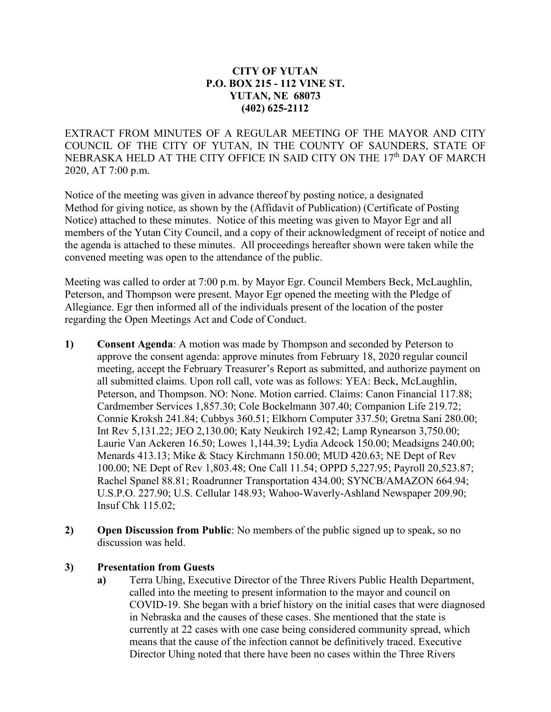## **CITY OF YUTAN P.O. BOX 215 - 112 VINE ST. YUTAN, NE 68073 (402) 625-2112**

EXTRACT FROM MINUTES OF A REGULAR MEETING OF THE MAYOR AND CITY COUNCIL OF THE CITY OF YUTAN, IN THE COUNTY OF SAUNDERS, STATE OF NEBRASKA HELD AT THE CITY OFFICE IN SAID CITY ON THE 17<sup>th</sup> DAY OF MARCH 2020, AT 7:00 p.m.

Notice of the meeting was given in advance thereof by posting notice, a designated Method for giving notice, as shown by the (Affidavit of Publication) (Certificate of Posting Notice) attached to these minutes. Notice of this meeting was given to Mayor Egr and all members of the Yutan City Council, and a copy of their acknowledgment of receipt of notice and the agenda is attached to these minutes. All proceedings hereafter shown were taken while the convened meeting was open to the attendance of the public.

Meeting was called to order at 7:00 p.m. by Mayor Egr. Council Members Beck, McLaughlin, Peterson, and Thompson were present. Mayor Egr opened the meeting with the Pledge of Allegiance. Egr then informed all of the individuals present of the location of the poster regarding the Open Meetings Act and Code of Conduct.

- **1) Consent Agenda**: A motion was made by Thompson and seconded by Peterson to approve the consent agenda: approve minutes from February 18, 2020 regular council meeting, accept the February Treasurer's Report as submitted, and authorize payment on all submitted claims. Upon roll call, vote was as follows: YEA: Beck, McLaughlin, Peterson, and Thompson. NO: None. Motion carried. Claims: Canon Financial 117.88; Cardmember Services 1,857.30; Cole Bockelmann 307.40; Companion Life 219.72; Connie Kroksh 241.84; Cubbys 360.51; Elkhorn Computer 337.50; Gretna Sani 280.00; Int Rev 5,131.22; JEO 2,130.00; Katy Neukirch 192.42; Lamp Rynearson 3,750.00; Laurie Van Ackeren 16.50; Lowes 1,144.39; Lydia Adcock 150.00; Meadsigns 240.00; Menards 413.13; Mike & Stacy Kirchmann 150.00; MUD 420.63; NE Dept of Rev 100.00; NE Dept of Rev 1,803.48; One Call 11.54; OPPD 5,227.95; Payroll 20,523.87; Rachel Spanel 88.81; Roadrunner Transportation 434.00; SYNCB/AMAZON 664.94; U.S.P.O. 227.90; U.S. Cellular 148.93; Wahoo-Waverly-Ashland Newspaper 209.90; Insuf Chk 115.02;
- **2) Open Discussion from Public**: No members of the public signed up to speak, so no discussion was held.

## **3) Presentation from Guests**

**a)** Terra Uhing, Executive Director of the Three Rivers Public Health Department, called into the meeting to present information to the mayor and council on COVID-19. She began with a brief history on the initial cases that were diagnosed in Nebraska and the causes of these cases. She mentioned that the state is currently at 22 cases with one case being considered community spread, which means that the cause of the infection cannot be definitively traced. Executive Director Uhing noted that there have been no cases within the Three Rivers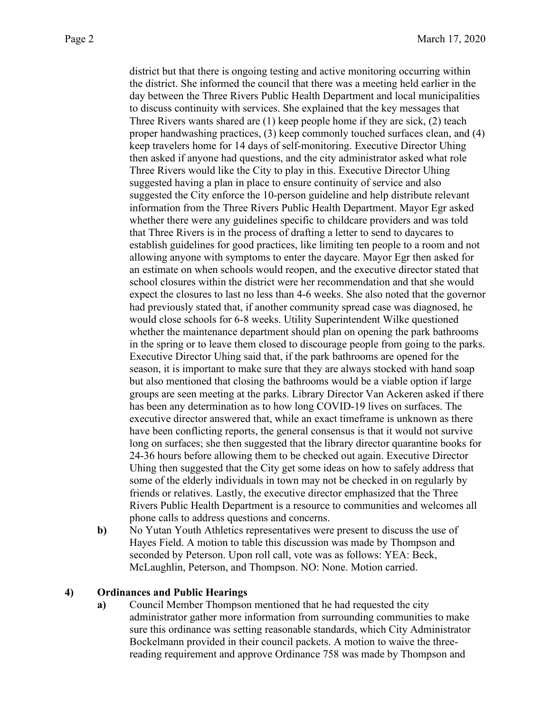district but that there is ongoing testing and active monitoring occurring within the district. She informed the council that there was a meeting held earlier in the day between the Three Rivers Public Health Department and local municipalities to discuss continuity with services. She explained that the key messages that Three Rivers wants shared are (1) keep people home if they are sick, (2) teach proper handwashing practices, (3) keep commonly touched surfaces clean, and (4) keep travelers home for 14 days of self-monitoring. Executive Director Uhing then asked if anyone had questions, and the city administrator asked what role Three Rivers would like the City to play in this. Executive Director Uhing suggested having a plan in place to ensure continuity of service and also suggested the City enforce the 10-person guideline and help distribute relevant information from the Three Rivers Public Health Department. Mayor Egr asked whether there were any guidelines specific to childcare providers and was told that Three Rivers is in the process of drafting a letter to send to daycares to establish guidelines for good practices, like limiting ten people to a room and not allowing anyone with symptoms to enter the daycare. Mayor Egr then asked for an estimate on when schools would reopen, and the executive director stated that school closures within the district were her recommendation and that she would expect the closures to last no less than 4-6 weeks. She also noted that the governor had previously stated that, if another community spread case was diagnosed, he would close schools for 6-8 weeks. Utility Superintendent Wilke questioned whether the maintenance department should plan on opening the park bathrooms in the spring or to leave them closed to discourage people from going to the parks. Executive Director Uhing said that, if the park bathrooms are opened for the season, it is important to make sure that they are always stocked with hand soap but also mentioned that closing the bathrooms would be a viable option if large groups are seen meeting at the parks. Library Director Van Ackeren asked if there has been any determination as to how long COVID-19 lives on surfaces. The executive director answered that, while an exact timeframe is unknown as there have been conflicting reports, the general consensus is that it would not survive long on surfaces; she then suggested that the library director quarantine books for 24-36 hours before allowing them to be checked out again. Executive Director Uhing then suggested that the City get some ideas on how to safely address that some of the elderly individuals in town may not be checked in on regularly by friends or relatives. Lastly, the executive director emphasized that the Three Rivers Public Health Department is a resource to communities and welcomes all phone calls to address questions and concerns.

**b)** No Yutan Youth Athletics representatives were present to discuss the use of Hayes Field. A motion to table this discussion was made by Thompson and seconded by Peterson. Upon roll call, vote was as follows: YEA: Beck, McLaughlin, Peterson, and Thompson. NO: None. Motion carried.

## **4) Ordinances and Public Hearings**

**a)** Council Member Thompson mentioned that he had requested the city administrator gather more information from surrounding communities to make sure this ordinance was setting reasonable standards, which City Administrator Bockelmann provided in their council packets. A motion to waive the threereading requirement and approve Ordinance 758 was made by Thompson and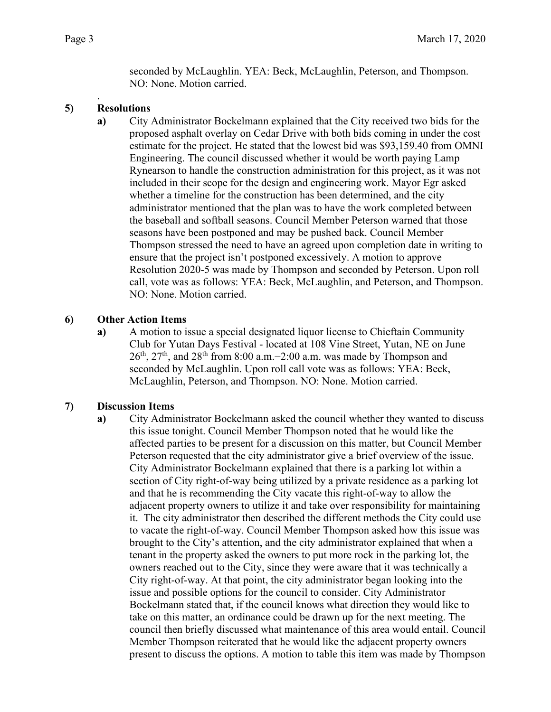seconded by McLaughlin. YEA: Beck, McLaughlin, Peterson, and Thompson. NO: None. Motion carried.

#### . **5) Resolutions**

**a)** City Administrator Bockelmann explained that the City received two bids for the proposed asphalt overlay on Cedar Drive with both bids coming in under the cost estimate for the project. He stated that the lowest bid was \$93,159.40 from OMNI Engineering. The council discussed whether it would be worth paying Lamp Rynearson to handle the construction administration for this project, as it was not included in their scope for the design and engineering work. Mayor Egr asked whether a timeline for the construction has been determined, and the city administrator mentioned that the plan was to have the work completed between the baseball and softball seasons. Council Member Peterson warned that those seasons have been postponed and may be pushed back. Council Member Thompson stressed the need to have an agreed upon completion date in writing to ensure that the project isn't postponed excessively. A motion to approve Resolution 2020-5 was made by Thompson and seconded by Peterson. Upon roll call, vote was as follows: YEA: Beck, McLaughlin, and Peterson, and Thompson. NO: None. Motion carried.

# **6) Other Action Items**

**a)** A motion to issue a special designated liquor license to Chieftain Community Club for Yutan Days Festival - located at 108 Vine Street, Yutan, NE on June 26<sup>th</sup>, 27<sup>th</sup>, and 28<sup>th</sup> from 8:00 a.m.−2:00 a.m. was made by Thompson and seconded by McLaughlin. Upon roll call vote was as follows: YEA: Beck, McLaughlin, Peterson, and Thompson. NO: None. Motion carried.

# **7) Discussion Items**

**a)** City Administrator Bockelmann asked the council whether they wanted to discuss this issue tonight. Council Member Thompson noted that he would like the affected parties to be present for a discussion on this matter, but Council Member Peterson requested that the city administrator give a brief overview of the issue. City Administrator Bockelmann explained that there is a parking lot within a section of City right-of-way being utilized by a private residence as a parking lot and that he is recommending the City vacate this right-of-way to allow the adjacent property owners to utilize it and take over responsibility for maintaining it. The city administrator then described the different methods the City could use to vacate the right-of-way. Council Member Thompson asked how this issue was brought to the City's attention, and the city administrator explained that when a tenant in the property asked the owners to put more rock in the parking lot, the owners reached out to the City, since they were aware that it was technically a City right-of-way. At that point, the city administrator began looking into the issue and possible options for the council to consider. City Administrator Bockelmann stated that, if the council knows what direction they would like to take on this matter, an ordinance could be drawn up for the next meeting. The council then briefly discussed what maintenance of this area would entail. Council Member Thompson reiterated that he would like the adjacent property owners present to discuss the options. A motion to table this item was made by Thompson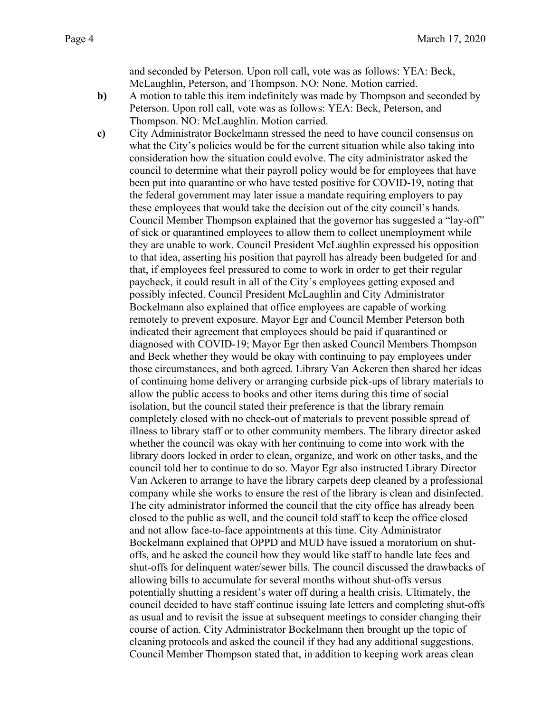and seconded by Peterson. Upon roll call, vote was as follows: YEA: Beck, McLaughlin, Peterson, and Thompson. NO: None. Motion carried.

- **b)** A motion to table this item indefinitely was made by Thompson and seconded by Peterson. Upon roll call, vote was as follows: YEA: Beck, Peterson, and Thompson. NO: McLaughlin. Motion carried.
- **c)** City Administrator Bockelmann stressed the need to have council consensus on what the City's policies would be for the current situation while also taking into consideration how the situation could evolve. The city administrator asked the council to determine what their payroll policy would be for employees that have been put into quarantine or who have tested positive for COVID-19, noting that the federal government may later issue a mandate requiring employers to pay these employees that would take the decision out of the city council's hands. Council Member Thompson explained that the governor has suggested a "lay-off" of sick or quarantined employees to allow them to collect unemployment while they are unable to work. Council President McLaughlin expressed his opposition to that idea, asserting his position that payroll has already been budgeted for and that, if employees feel pressured to come to work in order to get their regular paycheck, it could result in all of the City's employees getting exposed and possibly infected. Council President McLaughlin and City Administrator Bockelmann also explained that office employees are capable of working remotely to prevent exposure. Mayor Egr and Council Member Peterson both indicated their agreement that employees should be paid if quarantined or diagnosed with COVID-19; Mayor Egr then asked Council Members Thompson and Beck whether they would be okay with continuing to pay employees under those circumstances, and both agreed. Library Van Ackeren then shared her ideas of continuing home delivery or arranging curbside pick-ups of library materials to allow the public access to books and other items during this time of social isolation, but the council stated their preference is that the library remain completely closed with no check-out of materials to prevent possible spread of illness to library staff or to other community members. The library director asked whether the council was okay with her continuing to come into work with the library doors locked in order to clean, organize, and work on other tasks, and the council told her to continue to do so. Mayor Egr also instructed Library Director Van Ackeren to arrange to have the library carpets deep cleaned by a professional company while she works to ensure the rest of the library is clean and disinfected. The city administrator informed the council that the city office has already been closed to the public as well, and the council told staff to keep the office closed and not allow face-to-face appointments at this time. City Administrator Bockelmann explained that OPPD and MUD have issued a moratorium on shutoffs, and he asked the council how they would like staff to handle late fees and shut-offs for delinquent water/sewer bills. The council discussed the drawbacks of allowing bills to accumulate for several months without shut-offs versus potentially shutting a resident's water off during a health crisis. Ultimately, the council decided to have staff continue issuing late letters and completing shut-offs as usual and to revisit the issue at subsequent meetings to consider changing their course of action. City Administrator Bockelmann then brought up the topic of cleaning protocols and asked the council if they had any additional suggestions. Council Member Thompson stated that, in addition to keeping work areas clean